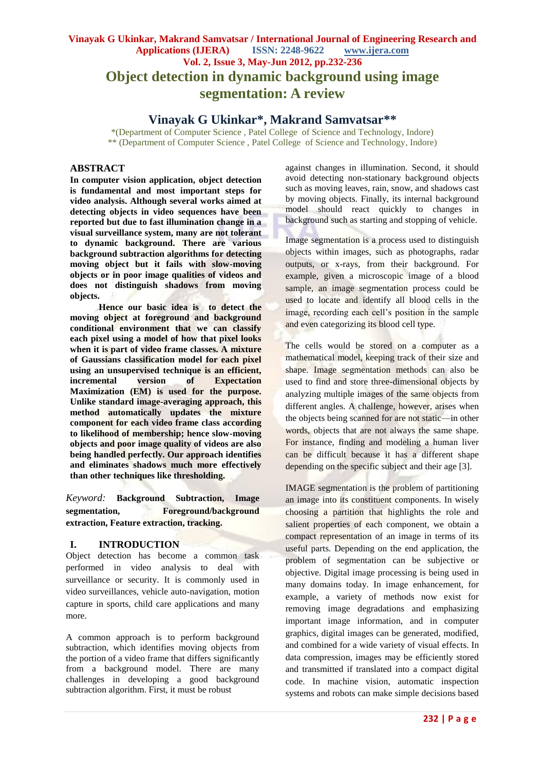# **Vinayak G Ukinkar, Makrand Samvatsar / International Journal of Engineering Research and Applications (IJERA) ISSN: 2248-9622 www.ijera.com Vol. 2, Issue 3, May-Jun 2012, pp.232-236 Object detection in dynamic background using image segmentation: A review**

# **Vinayak G Ukinkar\*, Makrand Samvatsar\*\***

\*(Department of Computer Science , Patel College of Science and Technology, Indore) \*\* (Department of Computer Science , Patel College of Science and Technology, Indore)

# **ABSTRACT**

**In computer vision application, object detection is fundamental and most important steps for video analysis. Although several works aimed at detecting objects in video sequences have been reported but due to fast illumination change in a visual surveillance system, many are not tolerant to dynamic background. There are various background subtraction algorithms for detecting moving object but it fails with slow-moving objects or in poor image qualities of videos and does not distinguish shadows from moving objects.**

**Hence our basic idea is to detect the moving object at foreground and background conditional environment that we can classify each pixel using a model of how that pixel looks when it is part of video frame classes. A mixture of Gaussians classification model for each pixel using an unsupervised technique is an efficient, incremental version of Expectation Maximization (EM) is used for the purpose. Unlike standard image-averaging approach, this method automatically updates the mixture component for each video frame class according to likelihood of membership; hence slow-moving objects and poor image quality of videos are also being handled perfectly. Our approach identifies and eliminates shadows much more effectively than other techniques like thresholding.**

*Keyword:* **Background Subtraction, Image segmentation, Foreground/background extraction, Feature extraction, tracking.**

# **I. INTRODUCTION**

Object detection has become a common task performed in video analysis to deal with surveillance or security. It is commonly used in video surveillances, vehicle auto-navigation, motion capture in sports, child care applications and many more.

A common approach is to perform background subtraction, which identifies moving objects from the portion of a video frame that differs significantly from a background model. There are many challenges in developing a good background subtraction algorithm. First, it must be robust

against changes in illumination. Second, it should avoid detecting non-stationary background objects such as moving leaves, rain, snow, and shadows cast by moving objects. Finally, its internal background model should react quickly to changes in background such as starting and stopping of vehicle.

Image segmentation is a process used to distinguish objects within images, such as photographs, radar outputs, or x-rays, from their background. For example, given a microscopic image of a blood sample, an image segmentation process could be used to locate and identify all blood cells in the image, recording each cell's position in the sample and even categorizing its blood cell type.

The cells would be stored on a computer as a mathematical model, keeping track of their size and shape. Image segmentation methods can also be used to find and store three-dimensional objects by analyzing multiple images of the same objects from different angles. A challenge, however, arises when the objects being scanned for are not static—in other words, objects that are not always the same shape. For instance, finding and modeling a human liver can be difficult because it has a different shape depending on the specific subject and their age [3].

IMAGE segmentation is the problem of partitioning an image into its constituent components. In wisely choosing a partition that highlights the role and salient properties of each component, we obtain a compact representation of an image in terms of its useful parts. Depending on the end application, the problem of segmentation can be subjective or objective. Digital image processing is being used in many domains today. In image enhancement, for example, a variety of methods now exist for removing image degradations and emphasizing important image information, and in computer graphics, digital images can be generated, modified, and combined for a wide variety of visual effects. In data compression, images may be efficiently stored and transmitted if translated into a compact digital code. In machine vision, automatic inspection systems and robots can make simple decisions based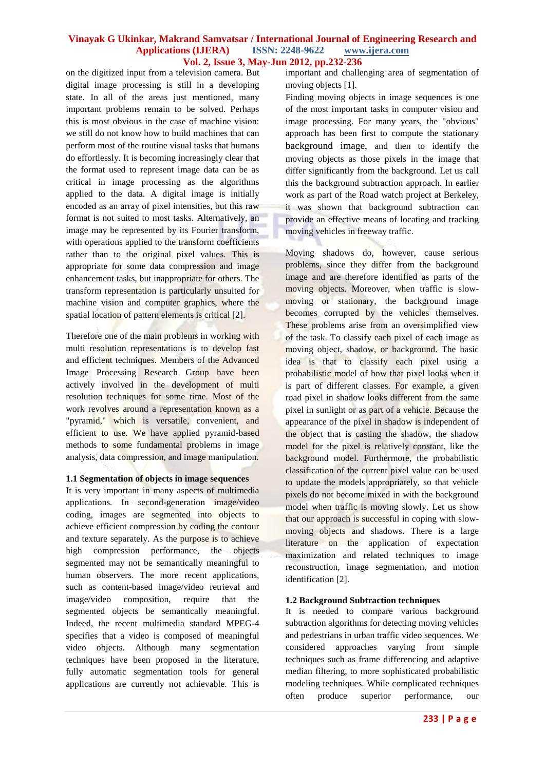on the digitized input from a television camera. But digital image processing is still in a developing state. In all of the areas just mentioned, many important problems remain to be solved. Perhaps this is most obvious in the case of machine vision: we still do not know how to build machines that can perform most of the routine visual tasks that humans do effortlessly. It is becoming increasingly clear that the format used to represent image data can be as critical in image processing as the algorithms applied to the data. A digital image is initially encoded as an array of pixel intensities, but this raw format is not suited to most tasks. Alternatively, an image may be represented by its Fourier transform, with operations applied to the transform coefficients rather than to the original pixel values. This is appropriate for some data compression and image enhancement tasks, but inappropriate for others. The transform representation is particularly unsuited for machine vision and computer graphics, where the spatial location of pattern elements is critical [2].

Therefore one of the main problems in working with multi resolution representations is to develop fast and efficient techniques. Members of the Advanced Image Processing Research Group have been actively involved in the development of multi resolution techniques for some time. Most of the work revolves around a representation known as a "pyramid," which is versatile, convenient, and efficient to use. We have applied pyramid-based methods to some fundamental problems in image analysis, data compression, and image manipulation.

### **1.1 Segmentation of objects in image sequences**

It is very important in many aspects of multimedia applications. In second-generation image/video coding, images are segmented into objects to achieve efficient compression by coding the contour and texture separately. As the purpose is to achieve high compression performance, the objects segmented may not be semantically meaningful to human observers. The more recent applications, such as content-based image/video retrieval and image/video composition, require that the segmented objects be semantically meaningful. Indeed, the recent multimedia standard MPEG-4 specifies that a video is composed of meaningful video objects. Although many segmentation techniques have been proposed in the literature, fully automatic segmentation tools for general applications are currently not achievable. This is important and challenging area of segmentation of moving objects [1].

Finding moving objects in image sequences is one of the most important tasks in computer vision and image processing. For many years, the "obvious" approach has been first to compute the stationary background image, and then to identify the moving objects as those pixels in the image that differ significantly from the background. Let us call this the background subtraction approach. In earlier work as part of the Road watch project at Berkeley, it was shown that background subtraction can provide an effective means of locating and tracking moving vehicles in freeway traffic.

Moving shadows do, however, cause serious problems, since they differ from the background image and are therefore identified as parts of the moving objects. Moreover, when traffic is slowmoving or stationary, the background image becomes corrupted by the vehicles themselves. These problems arise from an oversimplified view of the task. To classify each pixel of each image as moving object, shadow, or background. The basic idea is that to classify each pixel using a probabilistic model of how that pixel looks when it is part of different classes. For example, a given road pixel in shadow looks different from the same pixel in sunlight or as part of a vehicle. Because the appearance of the pixel in shadow is independent of the object that is casting the shadow, the shadow model for the pixel is relatively constant, like the background model. Furthermore, the probabilistic classification of the current pixel value can be used to update the models appropriately, so that vehicle pixels do not become mixed in with the background model when traffic is moving slowly. Let us show that our approach is successful in coping with slowmoving objects and shadows. There is a large literature on the application of expectation maximization and related techniques to image reconstruction, image segmentation, and motion identification [2].

### **1.2 Background Subtraction techniques**

It is needed to compare various background subtraction algorithms for detecting moving vehicles and pedestrians in urban traffic video sequences. We considered approaches varying from simple techniques such as frame differencing and adaptive median filtering, to more sophisticated probabilistic modeling techniques. While complicated techniques often produce superior performance, our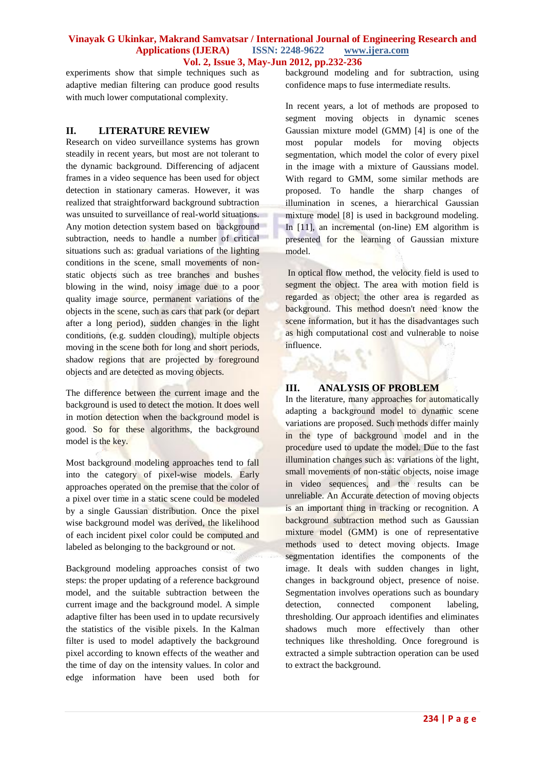experiments show that simple techniques such as adaptive median filtering can produce good results with much lower computational complexity.

# **II. LITERATURE REVIEW**

Research on video surveillance systems has grown steadily in recent years, but most are not tolerant to the dynamic background. Differencing of adjacent frames in a video sequence has been used for object detection in stationary cameras. However, it was realized that straightforward background subtraction was unsuited to surveillance of real-world situations. Any motion detection system based on background subtraction, needs to handle a number of critical situations such as: gradual variations of the lighting conditions in the scene, small movements of nonstatic objects such as tree branches and bushes blowing in the wind, noisy image due to a poor quality image source, permanent variations of the objects in the scene, such as cars that park (or depart after a long period), sudden changes in the light conditions, (e.g. sudden clouding), multiple objects moving in the scene both for long and short periods, shadow regions that are projected by foreground objects and are detected as moving objects.

The difference between the current image and the background is used to detect the motion. It does well in motion detection when the background model is good. So for these algorithms, the background model is the key.

Most background modeling approaches tend to fall into the category of pixel-wise models. Early approaches operated on the premise that the color of a pixel over time in a static scene could be modeled by a single Gaussian distribution. Once the pixel wise background model was derived, the likelihood of each incident pixel color could be computed and labeled as belonging to the background or not.

Background modeling approaches consist of two steps: the proper updating of a reference background model, and the suitable subtraction between the current image and the background model. A simple adaptive filter has been used in to update recursively the statistics of the visible pixels. In the Kalman filter is used to model adaptively the background pixel according to known effects of the weather and the time of day on the intensity values. In color and edge information have been used both for background modeling and for subtraction, using confidence maps to fuse intermediate results.

In recent years, a lot of methods are proposed to segment moving objects in dynamic scenes Gaussian mixture model (GMM) [4] is one of the most popular models for moving objects segmentation, which model the color of every pixel in the image with a mixture of Gaussians model. With regard to GMM, some similar methods are proposed. To handle the sharp changes of illumination in scenes, a hierarchical Gaussian mixture model [8] is used in background modeling. In [11], an incremental (on-line) EM algorithm is presented for the learning of Gaussian mixture model.

In optical flow method, the velocity field is used to segment the object. The area with motion field is regarded as object; the other area is regarded as background. This method doesn't need know the scene information, but it has the disadvantages such as high computational cost and vulnerable to noise influence.

# **III. ANALYSIS OF PROBLEM**

In the literature, many approaches for automatically adapting a background model to dynamic scene variations are proposed. Such methods differ mainly in the type of background model and in the procedure used to update the model. Due to the fast illumination changes such as: variations of the light, small movements of non-static objects, noise image in video sequences, and the results can be unreliable. An Accurate detection of moving objects is an important thing in tracking or recognition. A background subtraction method such as Gaussian mixture model (GMM) is one of representative methods used to detect moving objects. Image segmentation identifies the components of the image. It deals with sudden changes in light, changes in background object, presence of noise. Segmentation involves operations such as boundary detection, connected component labeling, thresholding. Our approach identifies and eliminates shadows much more effectively than other techniques like thresholding. Once foreground is extracted a simple subtraction operation can be used to extract the background.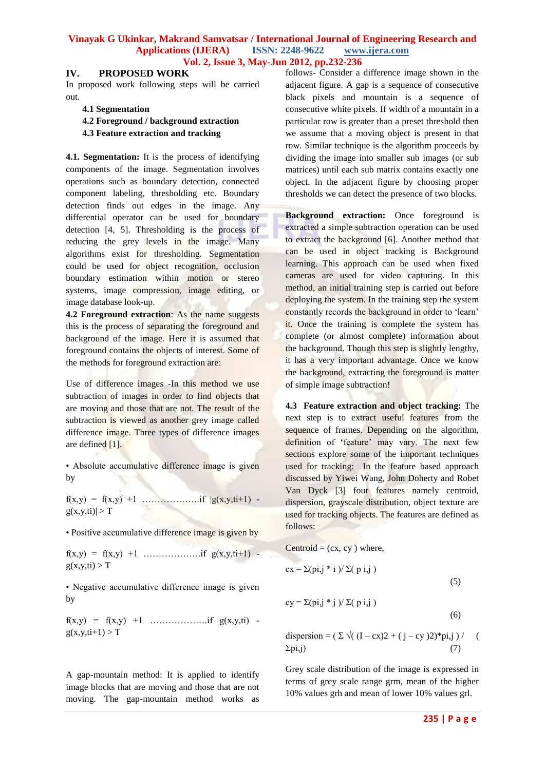### **IV. PROPOSED WORK**

In proposed work following steps will be carried out.

### **4.1 Segmentation**

**4.2 Foreground / background extraction 4.3 Feature extraction and tracking** 

**4.1. Segmentation:** It is the process of identifying components of the image. Segmentation involves operations such as boundary detection, connected component labeling, thresholding etc. Boundary detection finds out edges in the image. Any differential operator can be used for boundary detection [4, 5]. Thresholding is the process of reducing the grey levels in the image. Many algorithms exist for thresholding. Segmentation could be used for object recognition, occlusion boundary estimation within motion or stereo systems, image compression, image editing, or image database look-up.

**4.2 Foreground extraction**: As the name suggests this is the process of separating the foreground and background of the image. Here it is assumed that foreground contains the objects of interest. Some of the methods for foreground extraction are:

Use of difference images -In this method we use subtraction of images in order to find objects that are moving and those that are not. The result of the subtraction is viewed as another grey image called difference image. Three types of difference images are defined [1].

• Absolute accumulative difference image is given by

f(x,y) = f(x,y) +1 ……………….if |g(x,y,ti+1)  $g(x,y,ti)| > T$ 

• Positive accumulative difference image is given by

 $f(x,y) = f(x,y) +1$  …………………if  $g(x,y,ti+1)$   $g(x,y,ti) > T$ 

• Negative accumulative difference image is given by

 $f(x,y) = f(x,y) +1$  …………………if  $g(x,y,t)$   $g(x,y,ti+1) > T$ 

A gap-mountain method: It is applied to identify image blocks that are moving and those that are not moving. The gap-mountain method works as follows- Consider a difference image shown in the adjacent figure. A gap is a sequence of consecutive black pixels and mountain is a sequence of consecutive white pixels. If width of a mountain in a particular row is greater than a preset threshold then we assume that a moving object is present in that row. Similar technique is the algorithm proceeds by dividing the image into smaller sub images (or sub matrices) until each sub matrix contains exactly one object. In the adjacent figure by choosing proper thresholds we can detect the presence of two blocks.

**Background extraction:** Once foreground is extracted a simple subtraction operation can be used to extract the background [6]. Another method that can be used in object tracking is Background learning. This approach can be used when fixed cameras are used for video capturing. In this method, an initial training step is carried out before deploying the system. In the training step the system constantly records the background in order to 'learn' it. Once the training is complete the system has complete (or almost complete) information about the background. Though this step is slightly lengthy, it has a very important advantage. Once we know the background, extracting the foreground is matter of simple image subtraction!

**4.3 Feature extraction and object tracking:** The next step is to extract useful features from the sequence of frames. Depending on the algorithm, definition of 'feature' may vary. The next few sections explore some of the important techniques used for tracking: In the feature based approach discussed by Yiwei Wang, John Doherty and Robet Van Dyck [3] four features namely centroid, dispersion, grayscale distribution, object texture are used for tracking objects. The features are defined as follows:

Centroid = (cx, cy) where,  
\n
$$
cx = \Sigma (pij * i) / \Sigma (p i, j)
$$
\n
$$
cy = \Sigma (pij * j) / \Sigma (p i, j)
$$
\n(6)

dispersion =  $(\Sigma \sqrt{(1 - cx)^2 + (j - cy)^2})^*$ pi,j $)/$  (  $\Sigma$ pi,j)

Grey scale distribution of the image is expressed in terms of grey scale range grm, mean of the higher 10% values grh and mean of lower 10% values grl.